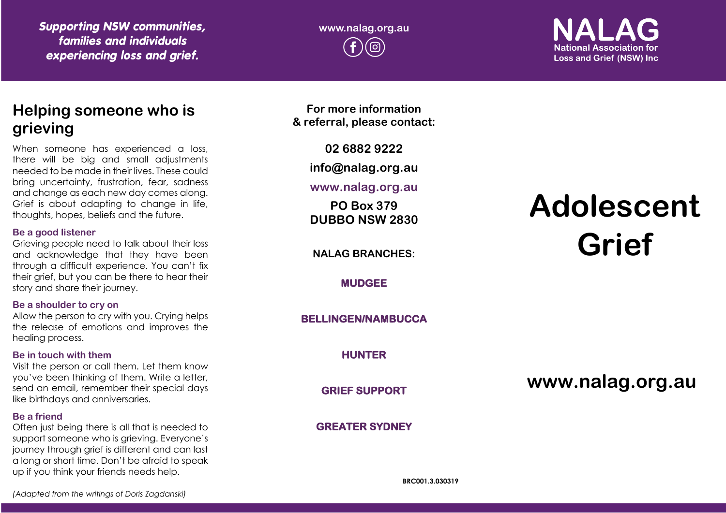*Supporting NSW communities,*  **www.nalag.org.au**  *families and individuals experiencing loss and grief.*

**National Association for Loss and Grief (NSW) Inc.** 

## **Helping someone who is grieving**

When someone has experienced a loss, there will be big and small adjustments needed to be made in their lives. These could bring uncertainty, frustration, fear, sadness and change as each new day comes along. Grief is about adapting to change in life, thoughts, hopes, beliefs and the future.

#### **Be a good listener**

Grieving people need to talk about their loss and acknowledge that they have been through a difficult experience. You can't fix their grief, but you can be there to hear their story and share their journey.

#### **Be a shoulder to cry on**

Allow the person to cry with you. Crying helps the release of emotions and improves the healing process.

#### **Be in touch with them**

Visit the person or call them. Let them know you've been thinking of them. Write a letter, send an email, remember their special days like birthdays and anniversaries.

#### **Be a friend**

Often just being there is all that is needed to support someone who is grieving. Everyone's journey through grief is different and can last a long or short time. Don't be afraid to speak up if you think your friends needs help.

**For more information & referral, please contact:**

**02 6882 9222**

**info@nalag.org.au**

### **www.nalag.org.au**

**PO Box 379 DUBBO NSW 2830**

**NALAG BRANCHES:**

**MUDGEE** 

**BELLINGEN/NAMBUCCA** 

**HUNTER** 

**GRIEF SUPPORT** 

**GREATER SYDNEY** 

# **Adolescent Grief**

**www.nalag.org.au**

**BRC001.3.030319** 

*(Adapted from the writings of Doris Zagdanski)*